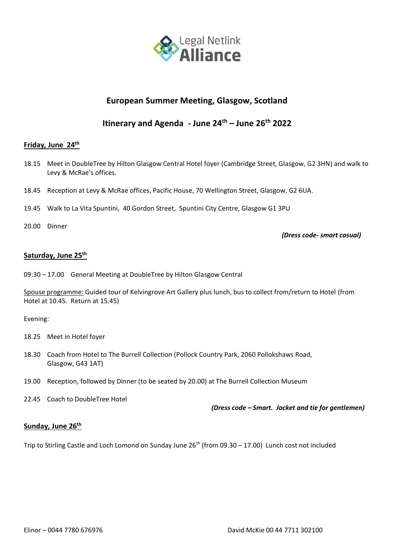

## **European Summer Meeting, Glasgow, Scotland**

# **Itinerary and Agenda - June 24 th – June 26th 2022**

### **Friday, June 24 th**

- 18.15 Meet in DoubleTree by Hilton Glasgow Central Hotel foyer (Cambridge Street, Glasgow, G2 3HN) and walk to Levy & McRae's offices.
- 18.45 Reception at Levy & McRae offices, Pacific House, 70 Wellington Street, Glasgow, G2 6UA.
- 19.45 Walk to La Vita Spuntini, 40 Gordon Street, Spuntini City Centre, Glasgow G1 3PU
- 20.00 Dinner

*(Dress code- smart casual)*

### **Saturday, June 25th**

09:30 – 17.00 General Meeting at DoubleTree by Hilton Glasgow Central

Spouse programme: Guided tour of Kelvingrove Art Gallery plus lunch, bus to collect from/return to Hotel (from Hotel at 10.45. Return at 15.45)

Evening:

- 18.25 Meet in Hotel foyer
- 18.30 Coach from Hotel to The Burrell Collection (Pollock Country Park, 2060 Pollokshaws Road, Glasgow, G43 1AT)
- 19.00 Reception, followed by Dinner (to be seated by 20.00) at The Burrell Collection Museum

22.45 Coach to DoubleTree Hotel

*(Dress code – Smart. Jacket and tie for gentlemen)*

#### **Sunday, June 26th**

Trip to Stirling Castle and Loch Lomond on Sunday June 26<sup>th</sup> (from 09.30 - 17.00) Lunch cost not included